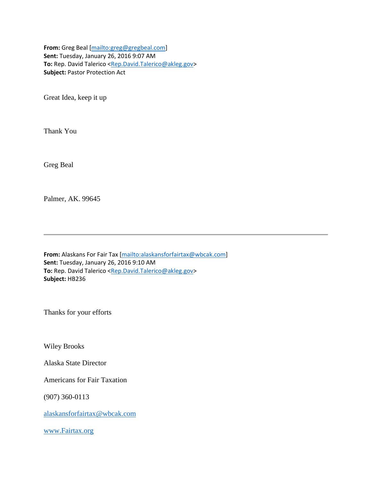**From:** Greg Beal [\[mailto:greg@gregbeal.com\]](mailto:greg@gregbeal.com) **Sent:** Tuesday, January 26, 2016 9:07 AM To: Rep. David Talerico [<Rep.David.Talerico@akleg.gov>](mailto:Rep.David.Talerico@akleg.gov) **Subject:** Pastor Protection Act

Great Idea, keep it up

Thank You

Greg Beal

Palmer, AK. 99645

**From:** Alaskans For Fair Tax [\[mailto:alaskansforfairtax@wbcak.com\]](mailto:alaskansforfairtax@wbcak.com) **Sent:** Tuesday, January 26, 2016 9:10 AM **To:** Rep. David Talerico [<Rep.David.Talerico@akleg.gov>](mailto:Rep.David.Talerico@akleg.gov) **Subject:** HB236

Thanks for your efforts

Wiley Brooks

Alaska State Director

Americans for Fair Taxation

(907) 360-0113

[alaskansforfairtax@wbcak.com](mailto:alaskansforfairtax@wbcak.com)

[www.Fairtax.org](http://www.fairtax.org/)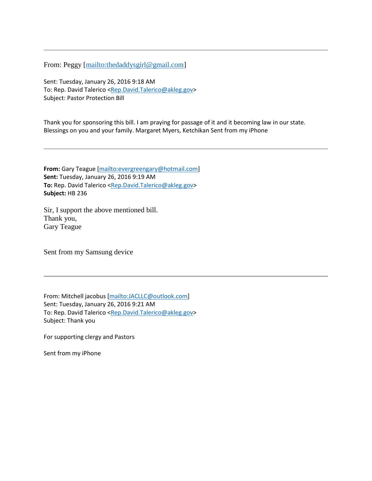From: Peggy [\[mailto:thedaddysgirl@gmail.com\]](mailto:thedaddysgirl@gmail.com)

Sent: Tuesday, January 26, 2016 9:18 AM To: Rep. David Talerico [<Rep.David.Talerico@akleg.gov>](mailto:Rep.David.Talerico@akleg.gov) Subject: Pastor Protection Bill

Thank you for sponsoring this bill. I am praying for passage of it and it becoming law in our state. Blessings on you and your family. Margaret Myers, Ketchikan Sent from my iPhone

**From:** Gary Teague [\[mailto:evergreengary@hotmail.com\]](mailto:evergreengary@hotmail.com) **Sent:** Tuesday, January 26, 2016 9:19 AM To: Rep. David Talerico [<Rep.David.Talerico@akleg.gov>](mailto:Rep.David.Talerico@akleg.gov) **Subject:** HB 236

Sir, I support the above mentioned bill. Thank you, Gary Teague

Sent from my Samsung device

From: Mitchell jacobus [\[mailto:JACLLC@outlook.com\]](mailto:JACLLC@outlook.com) Sent: Tuesday, January 26, 2016 9:21 AM To: Rep. David Talerico [<Rep.David.Talerico@akleg.gov>](mailto:Rep.David.Talerico@akleg.gov) Subject: Thank you

For supporting clergy and Pastors

Sent from my iPhone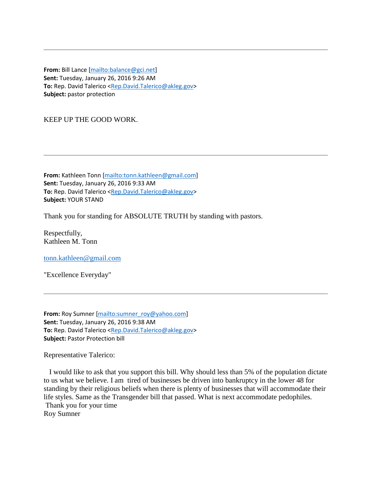**From:** Bill Lance [\[mailto:balance@gci.net\]](mailto:balance@gci.net) **Sent:** Tuesday, January 26, 2016 9:26 AM To: Rep. David Talerico [<Rep.David.Talerico@akleg.gov>](mailto:Rep.David.Talerico@akleg.gov) **Subject:** pastor protection

KEEP UP THE GOOD WORK.

**From:** Kathleen Tonn [\[mailto:tonn.kathleen@gmail.com\]](mailto:tonn.kathleen@gmail.com) **Sent:** Tuesday, January 26, 2016 9:33 AM **To:** Rep. David Talerico [<Rep.David.Talerico@akleg.gov>](mailto:Rep.David.Talerico@akleg.gov) **Subject:** YOUR STAND

Thank you for standing for ABSOLUTE TRUTH by standing with pastors.

Respectfully, Kathleen M. Tonn

[tonn.kathleen@gmail.com](mailto:tonn.kathleen@gmail.com)

"Excellence Everyday"

From: Roy Sumner [\[mailto:sumner\\_roy@yahoo.com\]](mailto:sumner_roy@yahoo.com) **Sent:** Tuesday, January 26, 2016 9:38 AM **To:** Rep. David Talerico [<Rep.David.Talerico@akleg.gov>](mailto:Rep.David.Talerico@akleg.gov) **Subject:** Pastor Protection bill

Representative Talerico:

 I would like to ask that you support this bill. Why should less than 5% of the population dictate to us what we believe. I am tired of businesses be driven into bankruptcy in the lower 48 for standing by their religious beliefs when there is plenty of businesses that will accommodate their life styles. Same as the Transgender bill that passed. What is next accommodate pedophiles. Thank you for your time Roy Sumner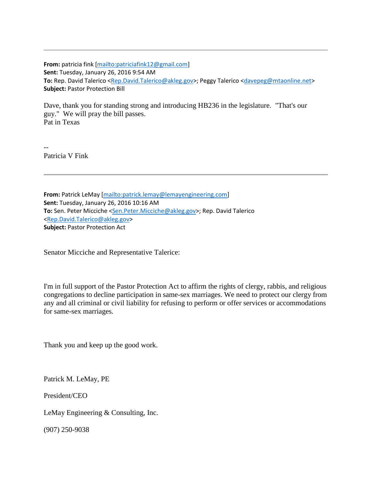**From:** patricia fink [\[mailto:patriciafink12@gmail.com\]](mailto:patriciafink12@gmail.com) **Sent:** Tuesday, January 26, 2016 9:54 AM **To:** Rep. David Talerico [<Rep.David.Talerico@akleg.gov>](mailto:Rep.David.Talerico@akleg.gov); Peggy Talerico [<davepeg@mtaonline.net>](mailto:davepeg@mtaonline.net) **Subject:** Pastor Protection Bill

Dave, thank you for standing strong and introducing HB236 in the legislature. "That's our guy." We will pray the bill passes. Pat in Texas

-- Patricia V Fink

**From:** Patrick LeMay [\[mailto:patrick.lemay@lemayengineering.com\]](mailto:patrick.lemay@lemayengineering.com) **Sent:** Tuesday, January 26, 2016 10:16 AM **To:** Sen. Peter Micciche [<Sen.Peter.Micciche@akleg.gov>](mailto:Sen.Peter.Micciche@akleg.gov); Rep. David Talerico [<Rep.David.Talerico@akleg.gov>](mailto:Rep.David.Talerico@akleg.gov) **Subject:** Pastor Protection Act

Senator Micciche and Representative Talerice:

I'm in full support of the Pastor Protection Act to affirm the rights of clergy, rabbis, and religious congregations to decline participation in same-sex marriages. We need to protect our clergy from any and all criminal or civil liability for refusing to perform or offer services or accommodations for same-sex marriages.

Thank you and keep up the good work.

Patrick M. LeMay, PE

President/CEO

LeMay Engineering & Consulting, Inc.

(907) 250-9038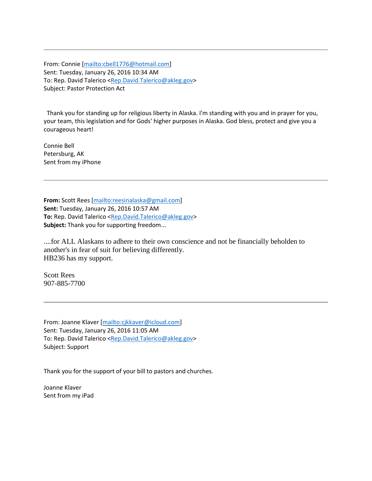From: Connie [\[mailto:cbell1776@hotmail.com\]](mailto:cbell1776@hotmail.com) Sent: Tuesday, January 26, 2016 10:34 AM To: Rep. David Talerico [<Rep.David.Talerico@akleg.gov>](mailto:Rep.David.Talerico@akleg.gov) Subject: Pastor Protection Act

 Thank you for standing up for religious liberty in Alaska. I'm standing with you and in prayer for you, your team, this legislation and for Gods' higher purposes in Alaska. God bless, protect and give you a courageous heart!

Connie Bell Petersburg, AK Sent from my iPhone

**From:** Scott Rees [\[mailto:reesinalaska@gmail.com\]](mailto:reesinalaska@gmail.com) **Sent:** Tuesday, January 26, 2016 10:57 AM To: Rep. David Talerico [<Rep.David.Talerico@akleg.gov>](mailto:Rep.David.Talerico@akleg.gov) **Subject:** Thank you for supporting freedom...

....for ALL Alaskans to adhere to their own conscience and not be financially beholden to another's in fear of suit for believing differently. HB236 has my support.

Scott Rees 907-885-7700

From: Joanne Klaver [\[mailto:cjkkaver@icloud.com\]](mailto:cjkkaver@icloud.com) Sent: Tuesday, January 26, 2016 11:05 AM To: Rep. David Talerico [<Rep.David.Talerico@akleg.gov>](mailto:Rep.David.Talerico@akleg.gov) Subject: Support

Thank you for the support of your bill to pastors and churches.

Joanne Klaver Sent from my iPad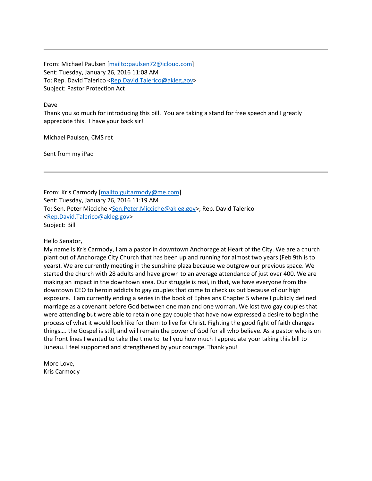From: Michael Paulsen [\[mailto:paulsen72@icloud.com\]](mailto:paulsen72@icloud.com) Sent: Tuesday, January 26, 2016 11:08 AM To: Rep. David Talerico [<Rep.David.Talerico@akleg.gov>](mailto:Rep.David.Talerico@akleg.gov) Subject: Pastor Protection Act

Dave

Thank you so much for introducing this bill. You are taking a stand for free speech and I greatly appreciate this. I have your back sir!

Michael Paulsen, CMS ret

Sent from my iPad

From: Kris Carmody [\[mailto:guitarmody@me.com\]](mailto:guitarmody@me.com) Sent: Tuesday, January 26, 2016 11:19 AM To: Sen. Peter Micciche [<Sen.Peter.Micciche@akleg.gov>](mailto:Sen.Peter.Micciche@akleg.gov); Rep. David Talerico [<Rep.David.Talerico@akleg.gov>](mailto:Rep.David.Talerico@akleg.gov) Subject: Bill

Hello Senator,

My name is Kris Carmody, I am a pastor in downtown Anchorage at Heart of the City. We are a church plant out of Anchorage City Church that has been up and running for almost two years (Feb 9th is to years). We are currently meeting in the sunshine plaza because we outgrew our previous space. We started the church with 28 adults and have grown to an average attendance of just over 400. We are making an impact in the downtown area. Our struggle is real, in that, we have everyone from the downtown CEO to heroin addicts to gay couples that come to check us out because of our high exposure. I am currently ending a series in the book of Ephesians Chapter 5 where I publicly defined marriage as a covenant before God between one man and one woman. We lost two gay couples that were attending but were able to retain one gay couple that have now expressed a desire to begin the process of what it would look like for them to live for Christ. Fighting the good fight of faith changes things…. the Gospel is still, and will remain the power of God for all who believe. As a pastor who is on the front lines I wanted to take the time to tell you how much I appreciate your taking this bill to Juneau. I feel supported and strengthened by your courage. Thank you!

More Love, Kris Carmody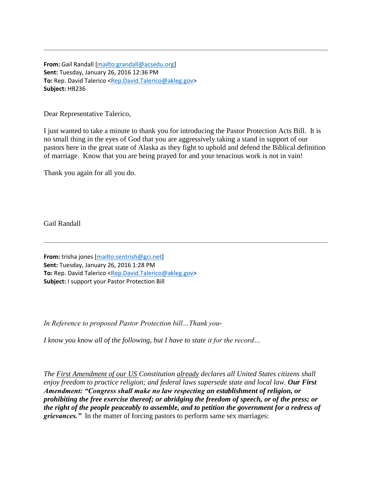**From:** Gail Randall [\[mailto:grandall@acsedu.org\]](mailto:grandall@acsedu.org) **Sent:** Tuesday, January 26, 2016 12:36 PM **To:** Rep. David Talerico [<Rep.David.Talerico@akleg.gov>](mailto:Rep.David.Talerico@akleg.gov) **Subject:** HB236

Dear Representative Talerico,

I just wanted to take a minute to thank you for introducing the Pastor Protection Acts Bill. It is no small thing in the eyes of God that you are aggressively taking a stand in support of our pastors here in the great state of Alaska as they fight to uphold and defend the Biblical definition of marriage. Know that you are being prayed for and your tenacious work is not in vain!

Thank you again for all you do.

Gail Randall

**From:** trisha jones [\[mailto:sentrish@gci.net\]](mailto:sentrish@gci.net) **Sent:** Tuesday, January 26, 2016 1:28 PM To: Rep. David Talerico [<Rep.David.Talerico@akleg.gov>](mailto:Rep.David.Talerico@akleg.gov) **Subject:** I support your Pastor Protection Bill

*In Reference to proposed Pastor Protection bill…Thank you-*

*I know you know all of the following, but I have to state it for the record…*

*The First Amendment of our US Constitution already declares all United States citizens shall enjoy freedom to practice religion; and federal laws supersede state and local law. Our First Amendment: "Congress shall make no law respecting an establishment of religion, or prohibiting the free exercise thereof; or abridging the freedom of speech, or of the press; or the right of the people peaceably to assemble, and to petition the government for a redress of grievances."* In the matter of forcing pastors to perform same sex marriages: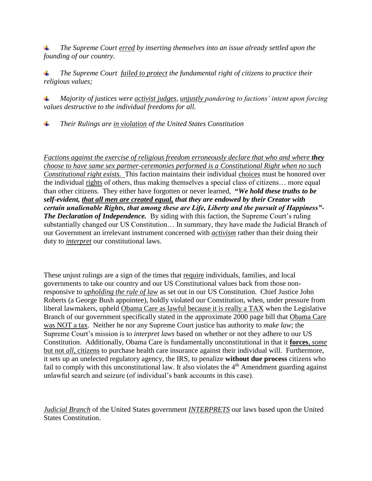*The Supreme Court erred by inserting themselves into an issue already settled upon the founding of our country.* 

 *The Supreme Court failed to protect the fundamental right of citizens to practice their religious values;* 

 *Majority of justices were activist judges, unjustly pandering to factions' intent upon forcing values destructive to the individual freedoms for all.*

*Their Rulings are in violation of the United States Constitution*

*Factions against the exercise of religious freedom erroneously declare that who and where they choose to have same sex partner-ceremonies performed is a Constitutional Right when no such Constitutional right exists.* This faction maintains their individual choices must be honored over the individual rights of others, thus making themselves a special class of citizens… more equal than other citizens. They either have forgotten or never learned, **"***We hold these truths to be self-evident, that all men are created equal, that they are endowed by their Creator with certain unalienable Rights, that among these are Life, Liberty and the pursuit of Happiness"- The Declaration of Independence.* By siding with this faction, the Supreme Court's ruling substantially changed our US Constitution… In summary, they have made the Judicial Branch of our Government an irrelevant instrument concerned with *activism* rather than their doing their duty to *interpret* our constitutional laws.

These unjust rulings are a sign of the times that require individuals, families, and local governments to take our country and our US Constitutional values back from those nonresponsive to *upholding the rule of law* as set out in our US Constitution. Chief Justice John Roberts (a George Bush appointee), boldly violated our Constitution, when, under pressure from liberal lawmakers, upheld Obama Care as lawful because it is really a TAX when the Legislative Branch of our government specifically stated in the approximate 2000 page bill that Obama Care was NOT a tax. Neither he nor any Supreme Court justice has authority to *make law*; the Supreme Court's mission is to *interpret laws* based on whether or not they adhere to our US Constitution. Additionally, Obama Care is fundamentally unconstitutional in that it **forces**, *some* but not *all*, citizens to purchase health care insurance against their individual will. Furthermore, it sets up an unelected regulatory agency, the IRS, to penalize **without due process** citizens who fail to comply with this unconstitutional law. It also violates the 4<sup>th</sup> Amendment guarding against unlawful search and seizure (of individual's bank accounts in this case).

*Judicial Branch* of the United States government *INTERPRETS* our laws based upon the United States Constitution.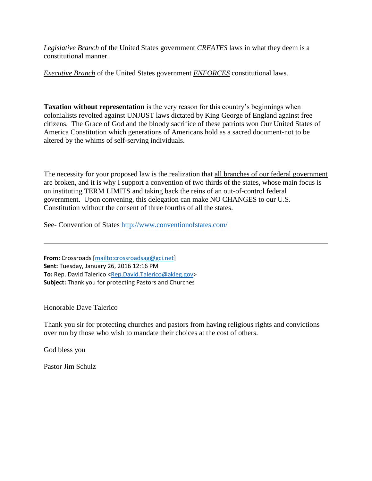*Legislative Branch* of the United States government *CREATES* laws in what they deem is a constitutional manner.

*Executive Branch* of the United States government *ENFORCES* constitutional laws.

**Taxation without representation** is the very reason for this country's beginnings when colonialists revolted against UNJUST laws dictated by King George of England against free citizens. The Grace of God and the bloody sacrifice of these patriots won Our United States of America Constitution which generations of Americans hold as a sacred document-not to be altered by the whims of self-serving individuals.

The necessity for your proposed law is the realization that all branches of our federal government are broken, and it is why I support a convention of two thirds of the states, whose main focus is on instituting TERM LIMITS and taking back the reins of an out-of-control federal government. Upon convening, this delegation can make NO CHANGES to our U.S. Constitution without the consent of three fourths of all the states.

See- Convention of States<http://www.conventionofstates.com/>

**From:** Crossroads [\[mailto:crossroadsag@gci.net\]](mailto:crossroadsag@gci.net) **Sent:** Tuesday, January 26, 2016 12:16 PM **To:** Rep. David Talerico [<Rep.David.Talerico@akleg.gov>](mailto:Rep.David.Talerico@akleg.gov) **Subject:** Thank you for protecting Pastors and Churches

Honorable Dave Talerico

Thank you sir for protecting churches and pastors from having religious rights and convictions over run by those who wish to mandate their choices at the cost of others.

God bless you

Pastor Jim Schulz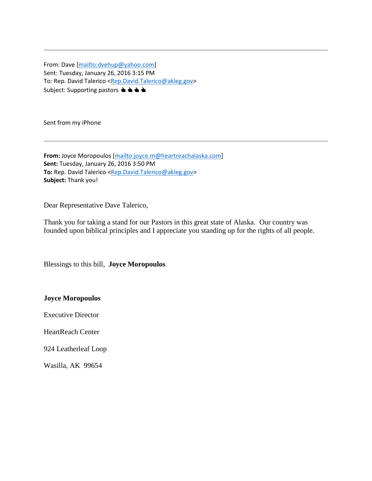From: Dave [\[mailto:dvehup@yahoo.com\]](mailto:dvehup@yahoo.com) Sent: Tuesday, January 26, 2016 3:15 PM To: Rep. David Talerico [<Rep.David.Talerico@akleg.gov>](mailto:Rep.David.Talerico@akleg.gov) Subject: Supporting pastors  $\blacktriangle \blacktriangle \blacktriangle \blacktriangle$ 

Sent from my iPhone

**From:** Joyce Moropoulos [\[mailto:joyce.m@heartreachalaska.com\]](mailto:joyce.m@heartreachalaska.com) **Sent:** Tuesday, January 26, 2016 3:50 PM **To:** Rep. David Talerico [<Rep.David.Talerico@akleg.gov>](mailto:Rep.David.Talerico@akleg.gov) **Subject:** Thank you!

Dear Representative Dave Talerico,

Thank you for taking a stand for our Pastors in this great state of Alaska. Our country was founded upon biblical principles and I appreciate you standing up for the rights of all people.

Blessings to this bill, **Joyce Moropoulos** 

**Joyce Moropoulos**

Executive Director

HeartReach Center

924 Leatherleaf Loop

Wasilla, AK 99654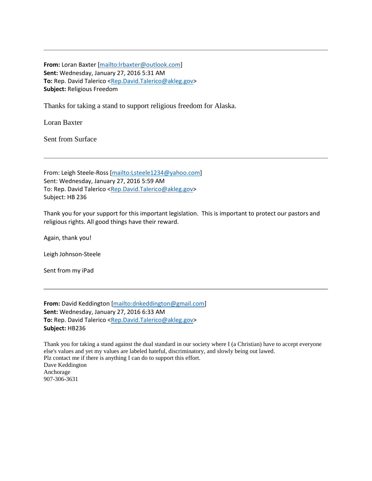**From:** Loran Baxter [\[mailto:lrbaxter@outlook.com\]](mailto:lrbaxter@outlook.com) **Sent:** Wednesday, January 27, 2016 5:31 AM **To:** Rep. David Talerico [<Rep.David.Talerico@akleg.gov>](mailto:Rep.David.Talerico@akleg.gov) **Subject:** Religious Freedom

Thanks for taking a stand to support religious freedom for Alaska.

Loran Baxter

Sent from Surface

From: Leigh Steele-Ross [\[mailto:Lsteele1234@yahoo.com\]](mailto:Lsteele1234@yahoo.com) Sent: Wednesday, January 27, 2016 5:59 AM To: Rep. David Talerico [<Rep.David.Talerico@akleg.gov>](mailto:Rep.David.Talerico@akleg.gov) Subject: HB 236

Thank you for your support for this important legislation. This is important to protect our pastors and religious rights. All good things have their reward.

Again, thank you!

Leigh Johnson-Steele

Sent from my iPad

**From:** David Keddington [\[mailto:dnkeddington@gmail.com\]](mailto:dnkeddington@gmail.com) **Sent:** Wednesday, January 27, 2016 6:33 AM **To:** Rep. David Talerico [<Rep.David.Talerico@akleg.gov>](mailto:Rep.David.Talerico@akleg.gov) **Subject:** HB236

Thank you for taking a stand against the dual standard in our society where I (a Christian) have to accept everyone else's values and yet my values are labeled hateful, discriminatory, and slowly being out lawed. Plz contact me if there is anything I can do to support this effort. Dave Keddington Anchorage 907-306-3631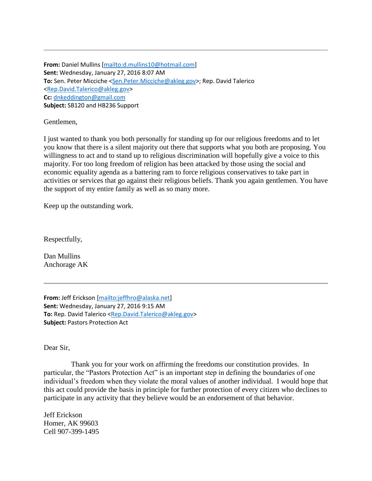**From:** Daniel Mullins [\[mailto:d.mullins10@hotmail.com\]](mailto:d.mullins10@hotmail.com) **Sent:** Wednesday, January 27, 2016 8:07 AM **To:** Sen. Peter Micciche [<Sen.Peter.Micciche@akleg.gov>](mailto:Sen.Peter.Micciche@akleg.gov); Rep. David Talerico [<Rep.David.Talerico@akleg.gov>](mailto:Rep.David.Talerico@akleg.gov) **Cc:** [dnkeddington@gmail.com](mailto:dnkeddington@gmail.com) **Subject:** SB120 and HB236 Support

Gentlemen,

I just wanted to thank you both personally for standing up for our religious freedoms and to let you know that there is a silent majority out there that supports what you both are proposing. You willingness to act and to stand up to religious discrimination will hopefully give a voice to this majority. For too long freedom of religion has been attacked by those using the social and economic equality agenda as a battering ram to force religious conservatives to take part in activities or services that go against their religious beliefs. Thank you again gentlemen. You have the support of my entire family as well as so many more.

Keep up the outstanding work.

Respectfully,

Dan Mullins Anchorage AK

**From:** Jeff Erickson [\[mailto:jeffhro@alaska.net\]](mailto:jeffhro@alaska.net) **Sent:** Wednesday, January 27, 2016 9:15 AM **To:** Rep. David Talerico [<Rep.David.Talerico@akleg.gov>](mailto:Rep.David.Talerico@akleg.gov) **Subject:** Pastors Protection Act

Dear Sir,

 Thank you for your work on affirming the freedoms our constitution provides. In particular, the "Pastors Protection Act" is an important step in defining the boundaries of one individual's freedom when they violate the moral values of another individual. I would hope that this act could provide the basis in principle for further protection of every citizen who declines to participate in any activity that they believe would be an endorsement of that behavior.

Jeff Erickson Homer, AK 99603 Cell 907-399-1495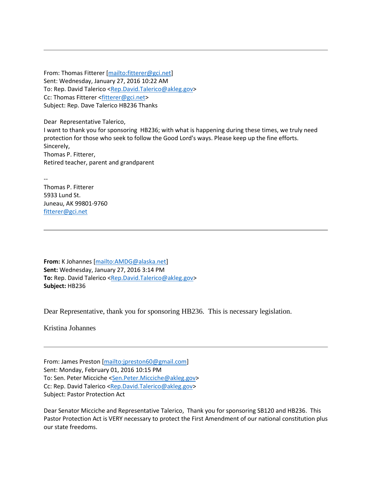From: Thomas Fitterer [\[mailto:fitterer@gci.net\]](mailto:fitterer@gci.net) Sent: Wednesday, January 27, 2016 10:22 AM To: Rep. David Talerico [<Rep.David.Talerico@akleg.gov>](mailto:Rep.David.Talerico@akleg.gov) Cc: Thomas Fitterer [<fitterer@gci.net>](mailto:fitterer@gci.net) Subject: Rep. Dave Talerico HB236 Thanks

Dear Representative Talerico, I want to thank you for sponsoring HB236; with what is happening during these times, we truly need protection for those who seek to follow the Good Lord's ways. Please keep up the fine efforts. Sincerely, Thomas P. Fitterer, Retired teacher, parent and grandparent

-- Thomas P. Fitterer 5933 Lund St. Juneau, AK 99801-9760 [fitterer@gci.net](mailto:fitterer@gci.net)

**From:** K Johannes [\[mailto:AMDG@alaska.net\]](mailto:AMDG@alaska.net) **Sent:** Wednesday, January 27, 2016 3:14 PM To: Rep. David Talerico [<Rep.David.Talerico@akleg.gov>](mailto:Rep.David.Talerico@akleg.gov) **Subject:** HB236

Dear Representative, thank you for sponsoring HB236. This is necessary legislation.

Kristina Johannes

From: James Preston [\[mailto:jpreston60@gmail.com\]](mailto:jpreston60@gmail.com) Sent: Monday, February 01, 2016 10:15 PM To: Sen. Peter Micciche [<Sen.Peter.Micciche@akleg.gov>](mailto:Sen.Peter.Micciche@akleg.gov) Cc: Rep. David Talerico [<Rep.David.Talerico@akleg.gov>](mailto:Rep.David.Talerico@akleg.gov) Subject: Pastor Protection Act

Dear Senator Micciche and Representative Talerico, Thank you for sponsoring SB120 and HB236. This Pastor Protection Act is VERY necessary to protect the First Amendment of our national constitution plus our state freedoms.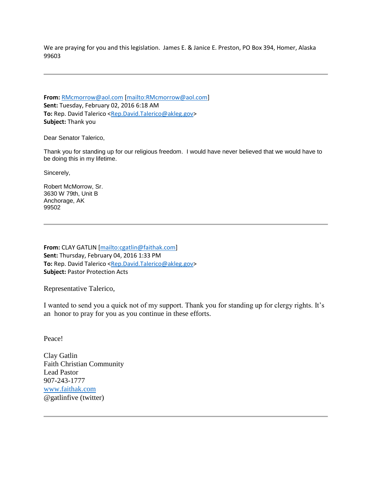We are praying for you and this legislation. James E. & Janice E. Preston, PO Box 394, Homer, Alaska 99603

**From:** [RMcmorrow@aol.com](mailto:RMcmorrow@aol.com) [\[mailto:RMcmorrow@aol.com\]](mailto:RMcmorrow@aol.com) **Sent:** Tuesday, February 02, 2016 6:18 AM **To:** Rep. David Talerico [<Rep.David.Talerico@akleg.gov>](mailto:Rep.David.Talerico@akleg.gov) **Subject:** Thank you

Dear Senator Talerico,

Thank you for standing up for our religious freedom. I would have never believed that we would have to be doing this in my lifetime.

Sincerely,

Robert McMorrow, Sr. 3630 W 79th, Unit B Anchorage, AK 99502

**From:** CLAY GATLIN [\[mailto:cgatlin@faithak.com\]](mailto:cgatlin@faithak.com) **Sent:** Thursday, February 04, 2016 1:33 PM **To:** Rep. David Talerico [<Rep.David.Talerico@akleg.gov>](mailto:Rep.David.Talerico@akleg.gov) **Subject:** Pastor Protection Acts

Representative Talerico,

I wanted to send you a quick not of my support. Thank you for standing up for clergy rights. It's an honor to pray for you as you continue in these efforts.

Peace!

Clay Gatlin Faith Christian Community Lead Pastor 907-243-1777 [www.faithak.com](http://www.faithak.com/) @gatlinfive (twitter)